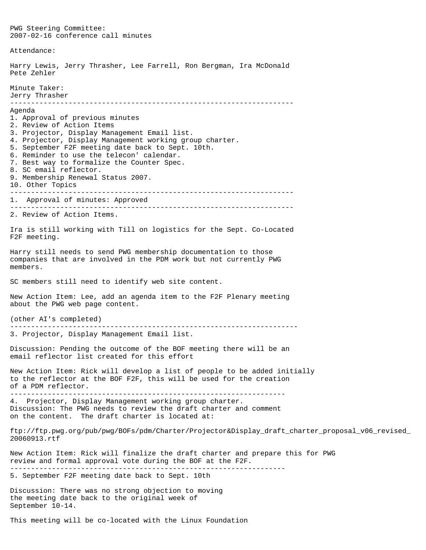PWG Steering Committee: 2007-02-16 conference call minutes Attendance: Harry Lewis, Jerry Thrasher, Lee Farrell, Ron Bergman, Ira McDonald Pete Zehler Minute Taker: Jerry Thrasher -------------------------------------------------------------------- Agenda 1. Approval of previous minutes 2. Review of Action Items 3. Projector, Display Management Email list. 4. Projector, Display Management working group charter. 5. September F2F meeting date back to Sept. 10th. 6. Reminder to use the telecon' calendar. 7. Best way to formalize the Counter Spec. 8. SC email reflector. 9. Membership Renewal Status 2007. 10. Other Topics -------------------------------------------------------------------- 1. Approval of minutes: Approved -------------------------------------------------------------------- 2. Review of Action Items. Ira is still working with Till on logistics for the Sept. Co-Located F2F meeting. Harry still needs to send PWG membership documentation to those companies that are involved in the PDM work but not currently PWG members. SC members still need to identify web site content. New Action Item: Lee, add an agenda item to the F2F Plenary meeting about the PWG web page content. (other AI's completed) --------------------------------------------------------------------- 3. Projector, Display Management Email list. Discussion: Pending the outcome of the BOF meeting there will be an email reflector list created for this effort New Action Item: Rick will develop a list of people to be added initially to the reflector at the BOF F2F, this will be used for the creation of a PDM reflector. ------------------------------------------------------------------ 4. Projector, Display Management working group charter. Discussion: The PWG needs to review the draft charter and comment on the content. The draft charter is located at: ftp://ftp.pwg.org/pub/pwg/BOFs/pdm/Charter/Projector&Display\_draft\_charter\_proposal\_v06\_revised\_ 20060913.rtf New Action Item: Rick will finalize the draft charter and prepare this for PWG review and formal approval vote during the BOF at the F2F. ------------------------------------------------------------------ 5. September F2F meeting date back to Sept. 10th Discussion: There was no strong objection to moving the meeting date back to the original week of September 10-14.

This meeting will be co-located with the Linux Foundation